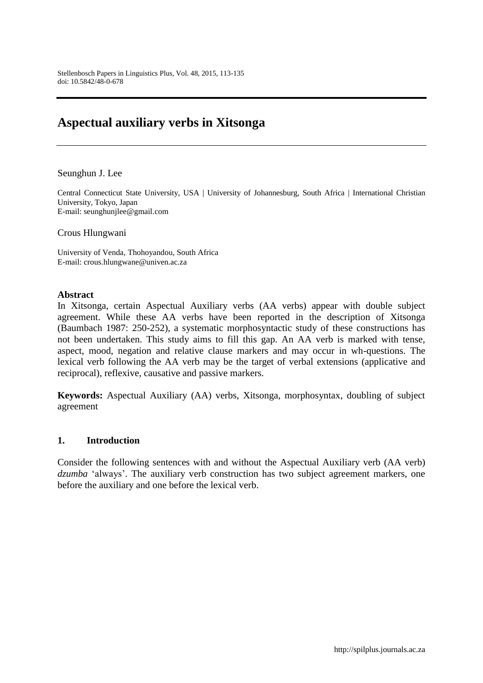# **Aspectual auxiliary verbs in Xitsonga**

Seunghun J. Lee

Central Connecticut State University, USA | University of Johannesburg, South Africa | International Christian University, Tokyo, Japan E-mail: seunghunjlee@gmail.com

Crous Hlungwani

University of Venda, Thohoyandou, South Africa E-mail: crous.hlungwane@univen.ac.za

#### **Abstract**

In Xitsonga, certain Aspectual Auxiliary verbs (AA verbs) appear with double subject agreement. While these AA verbs have been reported in the description of Xitsonga (Baumbach 1987: 250-252), a systematic morphosyntactic study of these constructions has not been undertaken. This study aims to fill this gap. An AA verb is marked with tense, aspect, mood, negation and relative clause markers and may occur in wh-questions. The lexical verb following the AA verb may be the target of verbal extensions (applicative and reciprocal), reflexive, causative and passive markers.

**Keywords:** Aspectual Auxiliary (AA) verbs, Xitsonga, morphosyntax, doubling of subject agreement

### **1. Introduction**

Consider the following sentences with and without the Aspectual Auxiliary verb (AA verb) *dzumba* 'always'. The auxiliary verb construction has two subject agreement markers, one before the auxiliary and one before the lexical verb.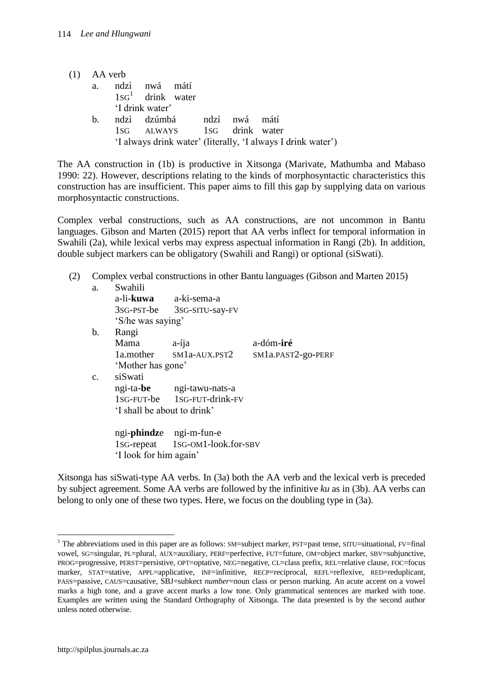| $(1)$ AA verb |                                                    |  |                                                              |  |
|---------------|----------------------------------------------------|--|--------------------------------------------------------------|--|
| a.            | ndzi nwá mátí                                      |  |                                                              |  |
|               | $1SG1$ drink water                                 |  |                                                              |  |
|               | 'I drink water'                                    |  |                                                              |  |
| $h_{-}$       | ndzi dzúmbá ndzí nwá mátí                          |  |                                                              |  |
|               | 1s <sub>G</sub> ALWAYS 1s <sub>G</sub> drink water |  |                                                              |  |
|               |                                                    |  | 'I always drink water' (literally, 'I always I drink water') |  |

The AA construction in (1b) is productive in Xitsonga (Marivate, Mathumba and Mabaso 1990: 22). However, descriptions relating to the kinds of morphosyntactic characteristics this construction has are insufficient. This paper aims to fill this gap by supplying data on various morphosyntactic constructions.

Complex verbal constructions, such as AA constructions, are not uncommon in Bantu languages. Gibson and Marten (2015) report that AA verbs inflect for temporal information in Swahili (2a), while lexical verbs may express aspectual information in Rangi (2b). In addition, double subject markers can be obligatory (Swahili and Rangi) or optional (siSwati).

(2) Complex verbal constructions in other Bantu languages (Gibson and Marten 2015)

| a.              | Swahili                       |                                  |                    |
|-----------------|-------------------------------|----------------------------------|--------------------|
|                 | a-li- <b>kuwa</b> a-ki-sema-a |                                  |                    |
|                 |                               | 3sG-PST-be 3sG-SITU-say-FV       |                    |
|                 | 'S/he was saying'             |                                  |                    |
| b.              | Rangi                         |                                  |                    |
|                 | Mama                          | $a$ -íja                         | a-dóm-iré          |
|                 |                               | 1a.mother SM1a-AUX.PST2          | SM1a.PAST2-go-PERF |
|                 | 'Mother has gone'             |                                  |                    |
| $\mathcal{C}$ . | siSwati                       |                                  |                    |
|                 |                               | ngi-ta-be ngi-tawu-nats-a        |                    |
|                 |                               | 1sG-FUT-be 1sG-FUT-drink-FV      |                    |
|                 | 'I shall be about to drink'   |                                  |                    |
|                 |                               | ngi- <b>phindz</b> e ngi-m-fun-e |                    |
|                 |                               | 1sG-repeat 1sG-OM1-look.for-SBV  |                    |
|                 | 'I look for him again'        |                                  |                    |

Xitsonga has siSwati-type AA verbs. In (3a) both the AA verb and the lexical verb is preceded by subject agreement. Some AA verbs are followed by the infinitive *ku* as in (3b). AA verbs can belong to only one of these two types. Here, we focus on the doubling type in (3a).

 $\overline{a}$ 

<sup>&</sup>lt;sup>1</sup> The abbreviations used in this paper are as follows: SM=subject marker, PST=past tense, SITU=situational, FV=final vowel, SG=singular, PL=plural, AUX=auxiliary, PERF=perfective, FUT=future, OM=object marker, SBV=subjunctive, PROG=progressive, PERST=persistive, OPT=optative, NEG=negative, CL=class prefix, REL=relative clause, FOC=focus marker, STAT=stative, APPL=applicative, INF=infinitive, RECP=reciprocal, REFL=reflexive, RED=reduplicant, PASS=passive, CAUS=causative, SBJ=subkect *number*=noun class or person marking. An acute accent on a vowel marks a high tone, and a grave accent marks a low tone. Only grammatical sentences are marked with tone. Examples are written using the Standard Orthography of Xitsonga. The data presented is by the second author unless noted otherwise.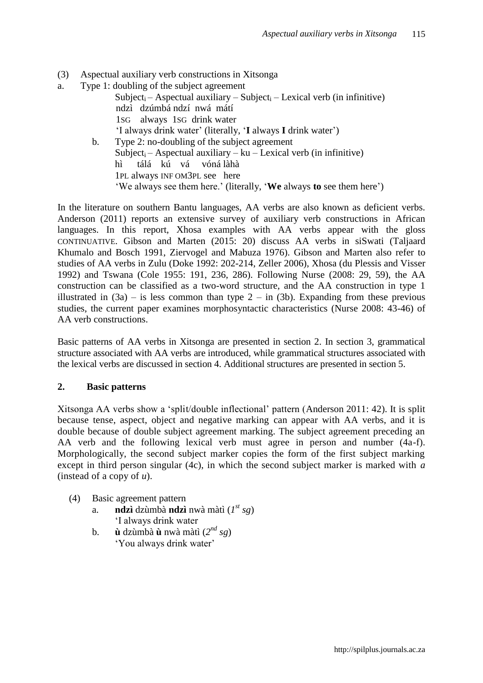- (3) Aspectual auxiliary verb constructions in Xitsonga
- a. Type 1: doubling of the subject agreement Subject<sub>i</sub> – Aspectual auxiliary – Subject<sub>i</sub> – Lexical verb (in infinitive) ndzì dzúmbá ndzí nwá mátí 1SG always 1SG drink water 'I always drink water' (literally, '**I** always **I** drink water') b. Type 2: no-doubling of the subject agreement Subject<sub>i</sub> – Aspectual auxiliary –  $ku$  – Lexical verb (in infinitive) hì tálá kú vá vóná làhà 1PL always INF OM3PL see here 'We always see them here.' (literally, '**We** always **to** see them here')

In the literature on southern Bantu languages, AA verbs are also known as deficient verbs. Anderson (2011) reports an extensive survey of auxiliary verb constructions in African languages. In this report, Xhosa examples with AA verbs appear with the gloss CONTINUATIVE. Gibson and Marten (2015: 20) discuss AA verbs in siSwati (Taljaard Khumalo and Bosch 1991, Ziervogel and Mabuza 1976). Gibson and Marten also refer to studies of AA verbs in Zulu (Doke 1992: 202-214, Zeller 2006), Xhosa (du Plessis and Visser 1992) and Tswana (Cole 1955: 191, 236, 286). Following Nurse (2008: 29, 59), the AA construction can be classified as a two-word structure, and the AA construction in type 1 illustrated in  $(3a)$  – is less common than type  $2 - in (3b)$ . Expanding from these previous studies, the current paper examines morphosyntactic characteristics (Nurse 2008: 43-46) of AA verb constructions.

Basic patterns of AA verbs in Xitsonga are presented in section 2. In section 3, grammatical structure associated with AA verbs are introduced, while grammatical structures associated with the lexical verbs are discussed in section 4. Additional structures are presented in section 5.

### **2. Basic patterns**

Xitsonga AA verbs show a 'split/double inflectional' pattern (Anderson 2011: 42). It is split because tense, aspect, object and negative marking can appear with AA verbs, and it is double because of double subject agreement marking. The subject agreement preceding an AA verb and the following lexical verb must agree in person and number (4a-f). Morphologically, the second subject marker copies the form of the first subject marking except in third person singular (4c), in which the second subject marker is marked with *a* (instead of a copy of *u*).

- (4) Basic agreement pattern
	- a. **ndzì** dzùmbà **ndzì** nwà màtì (*1 st sg*) 'I always drink water
	- b. **ù** dzùmbà **ù** nwà màtì  $(2^{nd} s g)$ 'You always drink water'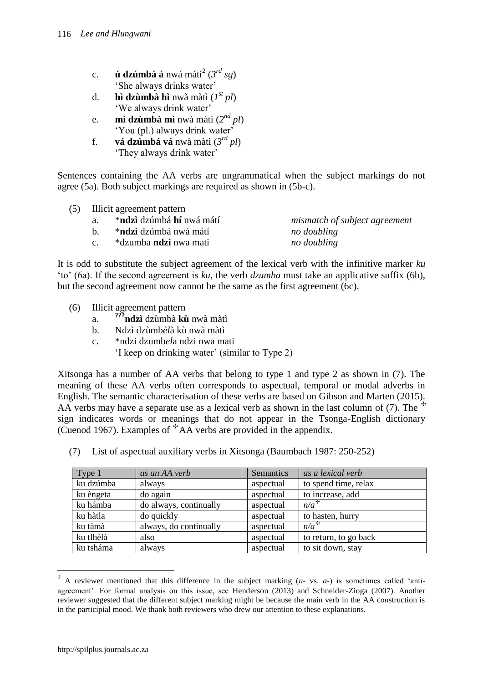- c. **ú dzúmbá á** nwá mátí $^2$  (3<sup>rd</sup> sg) 'She always drinks water'
- d. **hì dzùmbà hì** nwà màtì (*1 st pl*) 'We always drink water'
- e. **mì dzùmbà mì** nwà màtì (*2 nd pl*) 'You (pl.) always drink water'
- f. **vá dzúmbá vá** nwà màtì (*3 rd pl*) 'They always drink water'

Sentences containing the AA verbs are ungrammatical when the subject markings do not agree (5a). Both subject markings are required as shown in (5b-c).

|             | (5) Illicit agreement pattern    |                               |
|-------------|----------------------------------|-------------------------------|
| a.          | * <b>ndzì</b> dzúmbá hí nwá mátí | mismatch of subject agreement |
| $h_{\perp}$ | * <b>ndzì</b> dzúmbá nwá mátí    | no doubling                   |
| $c_{\cdot}$ | *dzumba <b>ndzi</b> nwa mati     | no doubling                   |

It is odd to substitute the subject agreement of the lexical verb with the infinitive marker *ku* 'to' (6a). If the second agreement is *ku*, the verb *dzumba* must take an applicative suffix (6b), but the second agreement now cannot be the same as the first agreement (6c).

- (6) Illicit agreement pattern
	- a. **???ndzì** dzùmbà **kù** nwà màtì
	- b. Ndzì dzùmb*èl*à kù nwà màtì
	- c. \*ndzi dzumb*el*a ndzi nwa mati
		- 'I keep on drinking water' (similar to Type 2)

Xitsonga has a number of AA verbs that belong to type 1 and type 2 as shown in (7). The meaning of these AA verbs often corresponds to aspectual, temporal or modal adverbs in English. The semantic characterisation of these verbs are based on Gibson and Marten (2015). AA verbs may have a separate use as a lexical verb as shown in the last column of  $(7)$ . The sign indicates words or meanings that do not appear in the Tsonga-English dictionary (Cuenod 1967). Examples of  $A$ A verbs are provided in the appendix.

| Type 1    | as an AA verb          | Semantics | as a lexical verb     |
|-----------|------------------------|-----------|-----------------------|
| ku dzúmba | always                 | aspectual | to spend time, relax  |
| ku èngeta | do again               | aspectual | to increase, add      |
| ku hámba  | do always, continually | aspectual | $n/a^+$               |
| ku hàtla  | do quickly             | aspectual | to hasten, hurry      |
| ku tàmà   | always, do continually | aspectual | $n/a^+$               |
| ku tlhèlà | also                   | aspectual | to return, to go back |
| ku tsháma | always                 | aspectual | to sit down, stay     |

(7) List of aspectual auxiliary verbs in Xitsonga (Baumbach 1987: 250-252)

 $\overline{a}$ 

<sup>2</sup> A reviewer mentioned that this difference in the subject marking (*u*- vs. *a*-) is sometimes called 'antiagreement'. For formal analysis on this issue, see Henderson (2013) and Schneider-Zioga (2007). Another reviewer suggested that the different subject marking might be because the main verb in the AA construction is in the participial mood. We thank both reviewers who drew our attention to these explanations.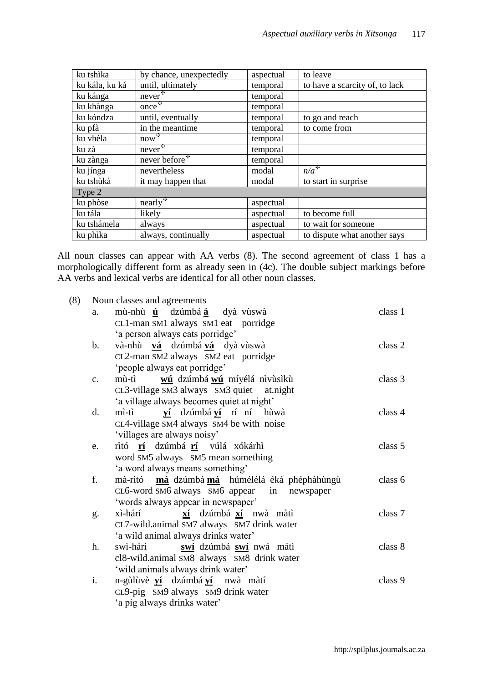| ku tshìka      | by chance, unexpectedly                      | aspectual | to leave                       |
|----------------|----------------------------------------------|-----------|--------------------------------|
| ku kála, ku ká | until, ultimately                            | temporal  | to have a scarcity of, to lack |
| ku kánga       | $never$ <sup><math>\ddot{\cdot}</math></sup> | temporal  |                                |
| ku khànga      | $once^+$                                     | temporal  |                                |
| ku kóndza      | until, eventually                            | temporal  | to go and reach                |
| ku pfà         | in the meantime                              | temporal  | to come from                   |
| ku vhèla       | $now^*$                                      | temporal  |                                |
| ku zà          | $never$ <sup><math>\ddagger</math></sup>     | temporal  |                                |
| ku zànga       | never before $\overline{\cdot}$              | temporal  |                                |
| ku jínga       | nevertheless                                 | modal     | $n/a^*$                        |
| ku tshùkà      | it may happen that                           | modal     | to start in surprise           |
| Type 2         |                                              |           |                                |
| ku phòse       | $nearly$ <sup><math>\ddagger</math></sup>    | aspectual |                                |
| ku tála        | likely                                       | aspectual | to become full                 |
| ku tshámela    | always                                       | aspectual | to wait for someone            |
| ku phika       | always, continually                          | aspectual | to dispute what another says   |

All noun classes can appear with AA verbs (8). The second agreement of class 1 has a morphologically different form as already seen in (4c). The double subject markings before AA verbs and lexical verbs are identical for all other noun classes.

| (8) |                | Noun classes and agreements                   |         |
|-----|----------------|-----------------------------------------------|---------|
|     | a.             | mù-nhù ú dzúmbá á dyà vùswà                   | class 1 |
|     |                | CL1-man SM1 always SM1 eat porridge           |         |
|     |                | 'a person always eats porridge'               |         |
|     | $\mathbf b$ .  | và-nhù vá dzúmbá vá dyà vùswà                 | class 2 |
|     |                | CL2-man SM2 always SM2 eat porridge           |         |
|     |                | 'people always eat porridge'                  |         |
|     | C <sub>1</sub> | mù-tì<br>wú dzúmbá wú míyélá nivùsikù         | class 3 |
|     |                | CL3-village SM3 always SM3 quiet at.night     |         |
|     |                | 'a village always becomes quiet at night'     |         |
|     | d.             | mì-tì ví dzúmbá ví rí ní hùwà                 | class 4 |
|     |                | CL4-village SM4 always SM4 be with noise      |         |
|     |                | 'villages are always noisy'                   |         |
|     | e.             | rìtó rí dzúmbá rí vúlá xókárhì                | class 5 |
|     |                | word SM5 always SM5 mean something            |         |
|     |                | 'a word always means something'               |         |
|     | f.             | mà-rìtó má dzúmbá má húmélélá éká phéphàhùngù | class 6 |
|     |                | CL6-word SM6 always SM6 appear in newspaper   |         |
|     |                | 'words always appear in newspaper'            |         |
|     | g.             | xí dzúmbá xí nwà màtì<br>xì-hárí              | class 7 |
|     |                | CL7-wild.animal SM7 always SM7 drink water    |         |
|     |                | 'a wild animal always drinks water'           |         |
|     | h.             | swì-hárí swí dzúmbá swí nwá mátì              | class 8 |
|     |                | cl8-wild.animal SM8 always SM8 drink water    |         |
|     |                | 'wild animals always drink water'             |         |
|     | i.             | n-gùlùvè ví dzúmbá ví nwà màtí                | class 9 |
|     |                | CL9-pig SM9 always SM9 drink water            |         |
|     |                | 'a pig always drinks water'                   |         |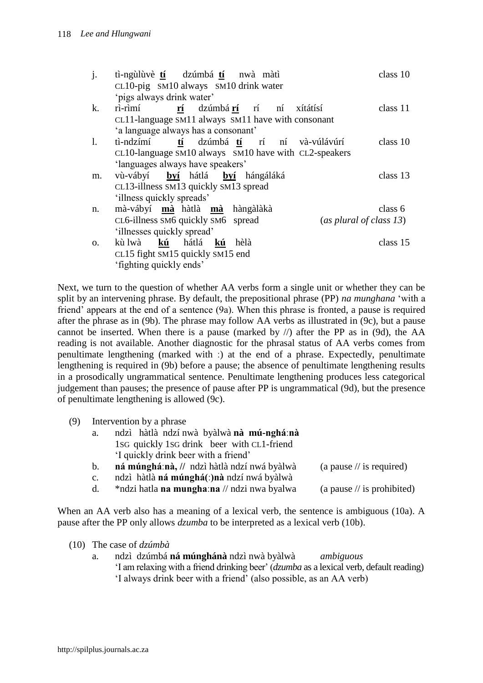| j. | tì-ngùlùvè tí dzúmbá tí nwà màtì<br>CL10-pig SM10 always SM10 drink water<br>'pigs always drink water' | class 10 |
|----|--------------------------------------------------------------------------------------------------------|----------|
| k. | ri-rimí rí dzúmbárí rí ní xítátísí                                                                     | class 11 |
|    | CL11-language SM11 always SM11 have with consonant                                                     |          |
|    | 'a language always has a consonant'                                                                    |          |
| 1. | tì-ndzímí tí dzúmbátí rí ní và-vúlávúrí                                                                | class 10 |
|    | CL10-language SM10 always SM10 have with CL2-speakers                                                  |          |
|    | 'languages always have speakers'                                                                       |          |
| m. | vù-vábyí byí hátlá byí hángáláká                                                                       | class 13 |
|    | CL13-illness SM13 quickly SM13 spread                                                                  |          |
|    | 'illness quickly spreads'                                                                              |          |
| n. | mà-vábyí mà hàtlà mà hàngàlàkà                                                                         | class 6  |
|    | CL6-illness SM6 quickly SM6 spread<br>(as plural of class 13)                                          |          |
|    | 'illnesses quickly spread'                                                                             |          |
| 0. | kù lwà kú hátlá kú hèlà                                                                                | class 15 |
|    | CL15 fight SM15 quickly SM15 end                                                                       |          |
|    | 'fighting quickly ends'                                                                                |          |

Next, we turn to the question of whether AA verbs form a single unit or whether they can be split by an intervening phrase. By default, the prepositional phrase (PP) *na munghana* 'with a friend' appears at the end of a sentence (9a). When this phrase is fronted, a pause is required after the phrase as in (9b). The phrase may follow AA verbs as illustrated in (9c), but a pause cannot be inserted. When there is a pause (marked by  $\ell$ ) after the PP as in (9d), the AA reading is not available. Another diagnostic for the phrasal status of AA verbs comes from penultimate lengthening (marked with **ː**) at the end of a phrase. Expectedly, penultimate lengthening is required in (9b) before a pause; the absence of penultimate lengthening results in a prosodically ungrammatical sentence. Penultimate lengthening produces less categorical judgement than pauses; the presence of pause after PP is ungrammatical (9d), but the presence of penultimate lengthening is allowed (9c).

(9) Intervention by a phrase

| a. | ndzì hàtlà ndzí nwà byàlwà nà mú-nghá:nà                                                                                                                                                                                          |  |
|----|-----------------------------------------------------------------------------------------------------------------------------------------------------------------------------------------------------------------------------------|--|
|    | 1sq quickly 1sq drink beer with CL1-friend                                                                                                                                                                                        |  |
|    | I quickly drink beer with a friend'                                                                                                                                                                                               |  |
|    | $\mathcal{L}$ , and the set of the set of the set of the set of the set of the set of the set of the set of the set of the set of the set of the set of the set of the set of the set of the set of the set of the set of the set |  |

- b. **ná múngháːnà, //** ndzì hàtlà ndzí nwá byàlwà (a pause // is required)
- c. ndzì hàtlà **ná múnghá(ː)nà** ndzí nwá byàlwà
- d. \*ndzi hatla **na munghaːna** // ndzi nwa byalwa (a pause // is prohibited)

When an AA verb also has a meaning of a lexical verb, the sentence is ambiguous (10a). A pause after the PP only allows *dzumba* to be interpreted as a lexical verb (10b).

- (10) The case of *dzúmbà*
	- a. ndzì dzúmbá **ná múnghánà** ndzì nwà byàlwà *ambiguous* 'I am relaxing with a friend drinking beer' (*dzumba* as a lexical verb, default reading) 'I always drink beer with a friend' (also possible, as an AA verb)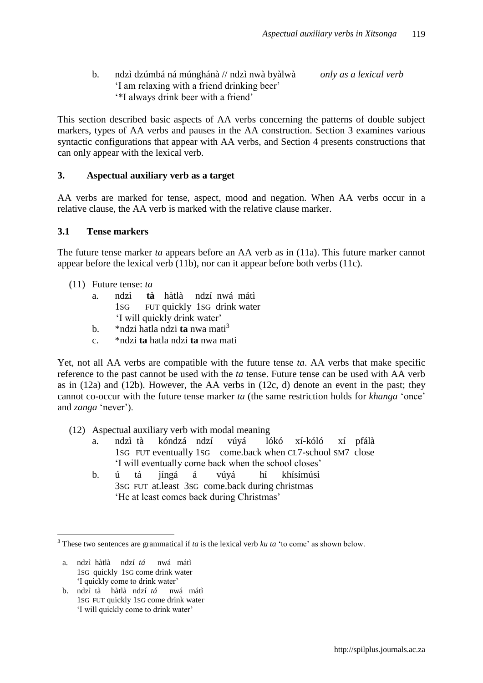| b. | ndzi dzúmbá ná múnghánà // ndzi nwà byàlwà  | only as a lexical verb |
|----|---------------------------------------------|------------------------|
|    | I am relaxing with a friend drinking beer'  |                        |
|    | <i>i</i> I always drink beer with a friend' |                        |

This section described basic aspects of AA verbs concerning the patterns of double subject markers, types of AA verbs and pauses in the AA construction. Section 3 examines various syntactic configurations that appear with AA verbs, and Section 4 presents constructions that can only appear with the lexical verb.

### **3. Aspectual auxiliary verb as a target**

AA verbs are marked for tense, aspect, mood and negation. When AA verbs occur in a relative clause, the AA verb is marked with the relative clause marker.

### **3.1 Tense markers**

The future tense marker *ta* appears before an AA verb as in (11a). This future marker cannot appear before the lexical verb (11b), nor can it appear before both verbs (11c).

- (11) Future tense: *ta*
	- a. ndzì **tà** hàtlà ndzí nwá mátì 1SG FUT quickly 1SG drink water 'I will quickly drink water'
	- b. \*ndzi hatla ndzi **ta** nwa mati<sup>3</sup>
	- c. \*ndzi **ta** hatla ndzi **ta** nwa mati

Yet, not all AA verbs are compatible with the future tense *ta*. AA verbs that make specific reference to the past cannot be used with the *ta* tense. Future tense can be used with AA verb as in (12a) and (12b). However, the AA verbs in (12c, d) denote an event in the past; they cannot co-occur with the future tense marker *ta* (the same restriction holds for *khanga* 'once' and *zanga* 'never').

- (12) Aspectual auxiliary verb with modal meaning
	- a. ndzì tà kóndzá ndzí vúyá lókó xí-kóló xí pfálà 1SG FUT eventually 1SG come.back when CL7-school SM7 close 'I will eventually come back when the school closes'
	- b. ú tá jíngá á vúyá hí khísímúsì 3SG FUT at.least 3SG come.back during christmas 'He at least comes back during Christmas'

a. ndzì hàtlà ndzí *tá* nwá mátì 1SG quickly 1SG come drink water 'I quickly come to drink water'

 $\overline{a}$ 

b. ndzì tà hàtlà ndzí *tá* nwá mátì 1SG FUT quickly 1SG come drink water 'I will quickly come to drink water'

<sup>3</sup> These two sentences are grammatical if *ta* is the lexical verb *ku ta* 'to come' as shown below.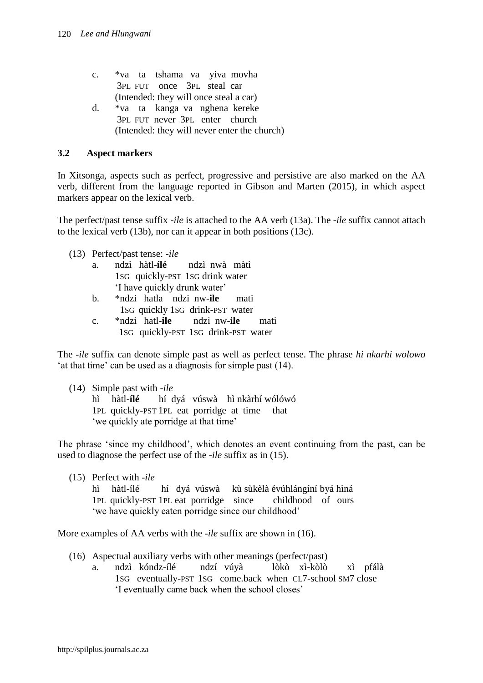- c. \*va ta tshama va yiva movha 3PL FUT once 3PL steal car (Intended: they will once steal a car)
- d. \*va ta kanga va nghena kereke 3PL FUT never 3PL enter church (Intended: they will never enter the church)

# **3.2 Aspect markers**

In Xitsonga, aspects such as perfect, progressive and persistive are also marked on the AA verb, different from the language reported in Gibson and Marten (2015), in which aspect markers appear on the lexical verb.

The perfect/past tense suffix -*ile* is attached to the AA verb (13a). The -*ile* suffix cannot attach to the lexical verb (13b), nor can it appear in both positions (13c).

(13) Perfect/past tense: *-ile*

- a. ndzì hàtl-**ílé** ndzì nwà màtì 1SG quickly-PST 1SG drink water 'I have quickly drunk water'
- b. \*ndzi hatla ndzi nw-**ile** mati 1SG quickly 1SG drink-PST water
- c. \*ndzi hatl-**ile** ndzi nw-**ile** mati 1SG quickly-PST 1SG drink-PST water

The *-ile* suffix can denote simple past as well as perfect tense. The phrase *hi nkarhi wolowo* 'at that time' can be used as a diagnosis for simple past (14).

(14) Simple past with -*ile*

hì hàtl-**ílé** hí dyá vúswà hì nkàrhí wólówó 1PL quickly-PST 1PL eat porridge at time that 'we quickly ate porridge at that time'

The phrase 'since my childhood', which denotes an event continuing from the past, can be used to diagnose the perfect use of the -*ile* suffix as in (15).

(15) Perfect with -*ile*

hì hàtl-ílé hí dyá vúswà kù sùkèlà évúhlángíní byá hìná 1PL quickly-PST 1PL eat porridge since childhood of ours 'we have quickly eaten porridge since our childhood'

More examples of AA verbs with the -*ile* suffix are shown in (16).

- (16) Aspectual auxiliary verbs with other meanings (perfect/past)
	- a. ndzì kóndz-ílé ndzí vúyà lòkò xì-kòlò xì pfálà 1SG eventually-PST 1SG come.back when CL7-school SM7 close 'I eventually came back when the school closes'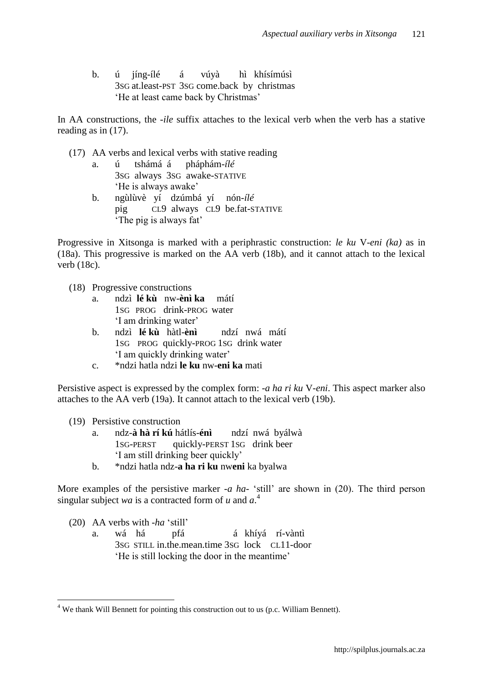b. ú jíng-ílé á vúyà hì khísímúsì 3SG at.least-PST 3SG come.back by christmas 'He at least came back by Christmas'

In AA constructions, the -*ile* suffix attaches to the lexical verb when the verb has a stative reading as in (17).

- (17) AA verbs and lexical verbs with stative reading
	- a. ú tshámá á pháphám-*ílé* 3SG always 3SG awake-STATIVE 'He is always awake'
	- b. ngùlùvè yí dzúmbá yí nón-*ílé* pig CL9 always CL9 be.fat-STATIVE 'The pig is always fat'

Progressive in Xitsonga is marked with a periphrastic construction: *le ku* V-*eni (ka)* as in (18a). This progressive is marked on the AA verb (18b), and it cannot attach to the lexical verb (18c).

- (18) Progressive constructions
	- a. ndzì **lé kù**nw-**ènì ka**mátí 1SG PROG drink-PROG water 'I am drinking water'
	- b. ndzì **lé kù**hàtl-**ènì**ndzí nwá mátí 1SG PROG quickly-PROG 1SG drink water 'I am quickly drinking water'
	- c. \*ndzi hatla ndzi **le ku** nw-**eni ka** mati

Persistive aspect is expressed by the complex form: -*a ha ri ku* V-*eni*. This aspect marker also attaches to the AA verb (19a). It cannot attach to the lexical verb (19b).

(19) Persistive construction

- a. ndz-**à hà rí kú** hátlís-**énì**ndzí nwá byálwà 1SG-PERST quickly-PERST 1SG drink beer 'I am still drinking beer quickly'
- b. \*ndzi hatla ndz-**a ha ri ku** nw**eni** ka byalwa

More examples of the persistive marker -*a ha-* 'still' are shown in (20). The third person singular subject *wa* is a contracted form of *u* and  $a^4$ .

(20) AA verbs with -*ha* 'still'

 $\overline{a}$ 

a. wá há pfá á khíyá rí-vàntì 3SG STILL in.the.mean.time 3SG lock CL11-door 'He is still locking the door in the meantime'

 $4$  We thank Will Bennett for pointing this construction out to us (p.c. William Bennett).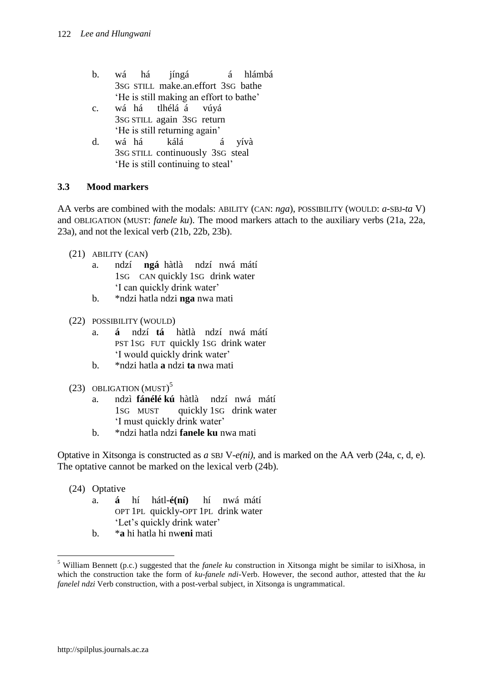- b. wá há jíngá á hlámbá 3SG STILL make.an.effort 3SG bathe 'He is still making an effort to bathe'
- c. wá há tlhélá á vúyá 3SG STILL again 3SG return 'He is still returning again'
- d. wá há kálá á yívà 3SG STILL continuously 3SG steal 'He is still continuing to steal'

# **3.3 Mood markers**

AA verbs are combined with the modals: ABILITY (CAN: *nga*), POSSIBILITY (WOULD: *a-*SBJ-*ta* V) and OBLIGATION (MUST: *fanele ku*). The mood markers attach to the auxiliary verbs (21a, 22a, 23a), and not the lexical verb (21b, 22b, 23b).

- (21) ABILITY (CAN)
	- a. ndzí **ngá** hàtlà ndzí nwá mátí 1SG CAN quickly 1SG drink water 'I can quickly drink water'
	- b. \*ndzi hatla ndzi **nga** nwa mati
- (22) POSSIBILITY (WOULD)
	- a. **á** ndzí **tá** hàtlà ndzí nwá mátí PST 1SG FUT quickly 1SG drink water 'I would quickly drink water'
	- b. \*ndzi hatla **a** ndzi **ta** nwa mati
- (23) OBLIGATION (MUST)<sup>5</sup>
	- a. ndzì **fánélé kú** hàtlà ndzí nwá mátí 1SG MUST quickly 1SG drink water 'I must quickly drink water'
	- b. \*ndzi hatla ndzi **fanele ku** nwa mati

Optative in Xitsonga is constructed as *a* SBJ V-*e(ni)*, and is marked on the AA verb (24a, c, d, e). The optative cannot be marked on the lexical verb (24b).

(24) Optative

 $\overline{a}$ 

- a. **á** hí hátl-**é(ní)** hí nwá mátí OPT 1PL quickly-OPT 1PL drink water 'Let's quickly drink water'
- b. \***a** hi hatla hi nw**eni** mati

<sup>5</sup> William Bennett (p.c.) suggested that the *fanele ku* construction in Xitsonga might be similar to isiXhosa, in which the construction take the form of *ku-fanele ndi-*Verb. However, the second author, attested that the *ku fanelel ndzi* Verb construction, with a post-verbal subject, in Xitsonga is ungrammatical.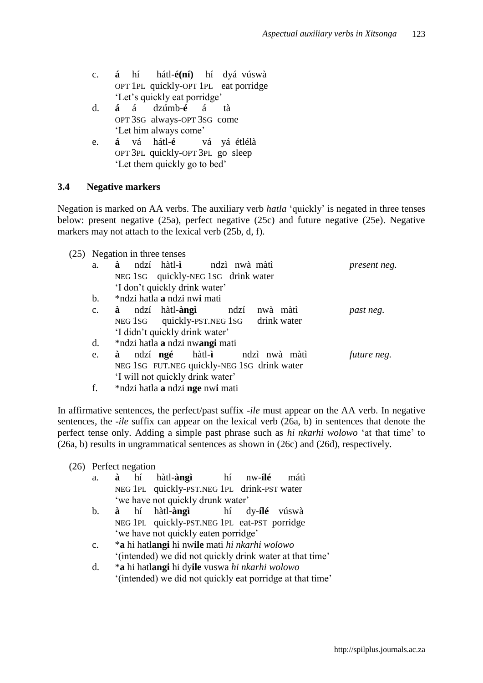- c. **á** hí hátl-**é(ní)** hí dyá vúswà OPT 1PL quickly-OPT 1PL eat porridge 'Let's quickly eat porridge'
- d. **á** á dzúmb-**é** á tà OPT 3SG always-OPT 3SG come 'Let him always come'
- e. **á** vá hátl-**é** vá yá étlélà OPT 3PL quickly-OPT 3PL go sleep 'Let them quickly go to bed'

### **3.4 Negative markers**

Negation is marked on AA verbs. The auxiliary verb *hatla* 'quickly' is negated in three tenses below: present negative (25a), perfect negative (25c) and future negative (25e). Negative markers may not attach to the lexical verb (25b, d, f).

|  | (25) Negation in three tenses |  |  |  |
|--|-------------------------------|--|--|--|
|--|-------------------------------|--|--|--|

| a.             | ndzí hàtl-ì ndzì nwà màtì<br>à                   | present neg. |
|----------------|--------------------------------------------------|--------------|
|                | NEG 1SG quickly-NEG 1SG drink water              |              |
|                | 'I don't quickly drink water'                    |              |
| $\mathbf b$ .  | *ndzi hatla a ndzi nwi mati                      |              |
| $\mathbf{c}$ . | <b>à</b> ndzí hàtl- <b>àngì</b> ndzí<br>nwà màtì | past neg.    |
|                | NEG 1SG quickly-PST.NEG 1SG drink water          |              |
|                | 'I didn't quickly drink water'                   |              |
| d.             | *ndzi hatla a ndzi nwangi mati                   |              |
| e.             | ndzí <b>ngé</b> hàtl-i hadzì nwà màtì<br>à       | future neg.  |
|                | NEG 1SG FUT.NEG quickly-NEG 1SG drink water      |              |
|                | 'I will not quickly drink water'                 |              |
|                |                                                  |              |

f. \*ndzi hatla **a** ndzi **nge** nw**i** mati

In affirmative sentences, the perfect/past suffix -*ile* must appear on the AA verb. In negative sentences, the -*ile* suffix can appear on the lexical verb (26a, b) in sentences that denote the perfect tense only. Adding a simple past phrase such as *hi nkarhi wolowo* 'at that time' to (26a, b) results in ungrammatical sentences as shown in (26c) and (26d), respectively.

# (26) Perfect negation

- a. **à** hí hàtl-**àngì** hí nw-**ílé** mátì NEG 1PL quickly-PST.NEG 1PL drink-PST water 'we have not quickly drunk water'
- b. **à** hí hàtl-**àngì** hí dy-**ílé** vúswà NEG 1PL quickly-PST.NEG 1PL eat-PST porridge 'we have not quickly eaten porridge'
- c. \***a** hi hatl**angi** hi nw**ile** mati *hi nkarhi wolowo* '(intended) we did not quickly drink water at that time'
- d. \***a** hi hatl**angi** hi dy**ile** vuswa *hi nkarhi wolowo* '(intended) we did not quickly eat porridge at that time'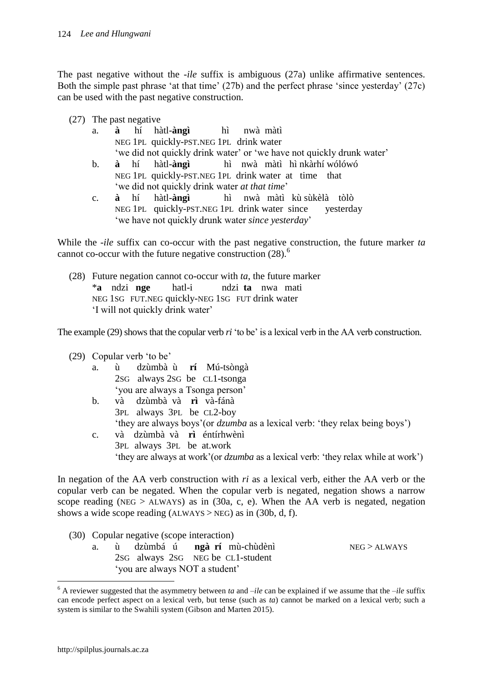The past negative without the -*ile* suffix is ambiguous (27a) unlike affirmative sentences. Both the simple past phrase 'at that time' (27b) and the perfect phrase 'since yesterday' (27c) can be used with the past negative construction.

- (27) The past negative
	- a. **à** hí hàtl-**àngì** hì nwà màtì NEG 1PL quickly-PST.NEG 1PL drink water 'we did not quickly drink water' or 'we have not quickly drunk water'
	- b. **à** hí hàtl-**àngì** hì nwà màtì hì nkàrhí wólówó NEG 1PL quickly-PST.NEG 1PL drink water at time that 'we did not quickly drink water *at that time*'
	- c. **à** hí hàtl-**àngì** hì nwà màtì kù sùkèlà tòlò NEG 1PL quickly-PST.NEG 1PL drink water since yesterday 'we have not quickly drunk water *since yesterday*'

While the -*ile* suffix can co-occur with the past negative construction, the future marker *ta* cannot co-occur with the future negative construction  $(28)$ .<sup>6</sup>

(28) Future negation cannot co-occur with *ta*, the future marker \***a** ndzi **nge** hatl-i ndzi **ta** nwa mati NEG 1SG FUT.NEG quickly-NEG 1SG FUT drink water 'I will not quickly drink water'

The example (29) shows that the copular verb *ri* 'to be' is a lexical verb in the AA verb construction.

- (29) Copular verb 'to be'
	- a. ù dzùmbà ù **rí** Mú-tsòngà 2SG always 2SG be CL1-tsonga 'you are always a Tsonga person'
	- b. và dzùmbà và **rì** và-fánà 3PL always 3PL be CL2-boy 'they are always boys'(or *dzumba* as a lexical verb: 'they relax being boys')
	- c. và dzùmbà và **rì** éntírhwènì 3PL always 3PL be at.work 'they are always at work'(or *dzumba* as a lexical verb: 'they relax while at work')

In negation of the AA verb construction with *ri* as a lexical verb, either the AA verb or the copular verb can be negated. When the copular verb is negated, negation shows a narrow scope reading (NEG > ALWAYS) as in  $(30a, c, e)$ . When the AA verb is negated, negation shows a wide scope reading  $(ALWAYS > NEG)$  as in  $(30b, d, f)$ .

- (30) Copular negative (scope interaction)
	- a. ù dzùmbá ú **ngà rí**mù-chùdènì NEG > ALWAYS 2SG always 2SG NEG be CL1-student 'you are always NOT a student'

 $\overline{a}$ 

<sup>6</sup> A reviewer suggested that the asymmetry between *ta* and –*ile* can be explained if we assume that the –*ile* suffix can encode perfect aspect on a lexical verb, but tense (such as *ta*) cannot be marked on a lexical verb; such a system is similar to the Swahili system (Gibson and Marten 2015).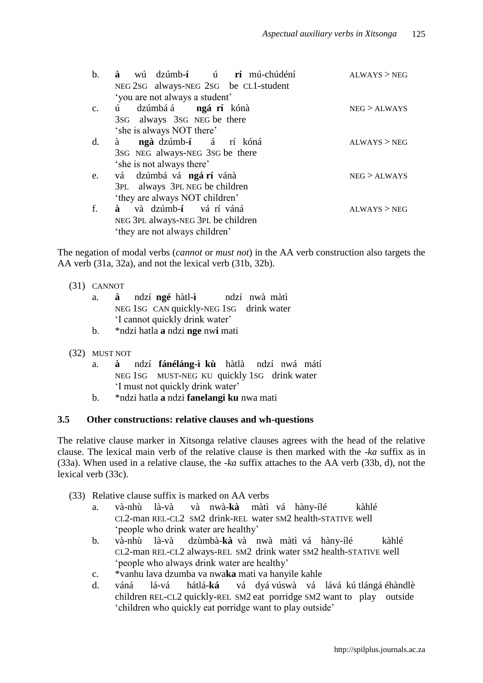| $\mathbf b$ . | wú dzúmb-í ú rí mú-chúdéní<br>à<br>NEG 2sG always-NEG 2sG be CL1-student | ALWAYS > NEG |
|---------------|--------------------------------------------------------------------------|--------------|
|               | 'you are not always a student'                                           |              |
| $C_{\bullet}$ | dzúmbá á <b>ngá rí</b> kónà<br>ú –                                       | NEG > ALWAYS |
|               | 3sG always 3sG NEG be there                                              |              |
|               | 'she is always NOT there'                                                |              |
| $d_{\cdot}$   | ngà dzúmb-í á ríkóná<br>à                                                | ALWAYS > NEG |
|               | 3sG NEG always-NEG 3sG be there                                          |              |
|               | 'she is not always there'                                                |              |
| e.            | vá dzúmbá vá ngárí vánà                                                  | NEG > ALWAYS |
|               | 3PL always 3PL NEG be children                                           |              |
|               | 'they are always NOT children'                                           |              |
| f.            | và dzúmb-í vá rí váná<br>à                                               | ALWAYS > NEG |
|               | NEG 3PL always-NEG 3PL be children                                       |              |
|               | 'they are not always children'                                           |              |

The negation of modal verbs (*cannot* or *must not*) in the AA verb construction also targets the AA verb (31a, 32a), and not the lexical verb (31b, 32b).

- (31) CANNOT
	- a. **à** ndzí **ngé** hàtl-**ì** ndzí nwà màtì NEG 1SG CAN quickly-NEG 1SG drink water 'I cannot quickly drink water'
	- b. \*ndzi hatla **a** ndzi **nge** nw**i** mati
- (32) MUST NOT
	- a. **à** ndzí **fánéláng-ì kù** hàtlà ndzí nwá mátí NEG 1SG MUST-NEG KU quickly 1SG drink water 'I must not quickly drink water'
	- b. \*ndzi hatla **a** ndzi **fanelangi ku** nwa mati

#### **3.5 Other constructions: relative clauses and wh-questions**

The relative clause marker in Xitsonga relative clauses agrees with the head of the relative clause. The lexical main verb of the relative clause is then marked with the -*ka* suffix as in (33a). When used in a relative clause, the -*ka* suffix attaches to the AA verb (33b, d), not the lexical verb (33c).

- (33) Relative clause suffix is marked on AA verbs
	- a. và-nhù là-và và nwà-**kà** màtì vá hàny-ílé kàhlé CL2-man REL-CL2 SM2 drink-REL water SM2 health-STATIVE well 'people who drink water are healthy'
	- b. và-nhù là-và dzùmbà-**kà** và nwà màtì vá hàny-ílé kàhlé CL2-man REL-CL2 always-REL SM2 drink water SM2 health-STATIVE well 'people who always drink water are healthy'
	- c. \*vanhu lava dzumba va nwa**ka** mati va hanyile kahle
	- d. váná lá-vá hátlá-**ká** vá dyá vúswà vá lává kú tlángá éhàndlè children REL-CL2 quickly-REL SM2 eat porridge SM2 want to play outside 'children who quickly eat porridge want to play outside'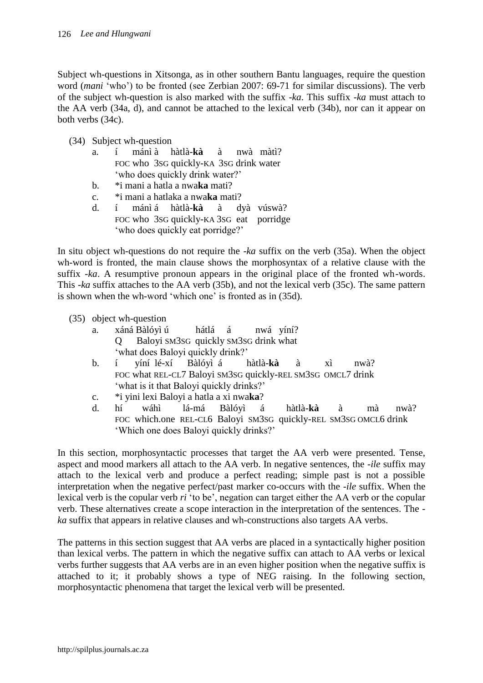Subject wh-questions in Xitsonga, as in other southern Bantu languages, require the question word (*mani* 'who') to be fronted (see Zerbian 2007: 69-71 for similar discussions). The verb of the subject wh-question is also marked with the suffix -*ka*. This suffix -*ka* must attach to the AA verb (34a, d), and cannot be attached to the lexical verb (34b), nor can it appear on both verbs (34c).

- (34) Subject wh-question
	- a. í mánì à hàtlà-**kà** à nwà màtì? FOC who 3SG quickly-KA 3SG drink water 'who does quickly drink water?'
	- b. \*i mani a hatla a nwa**ka** mati?
	- c. \*i mani a hatlaka a nwa**ka** mati?
	- d. í mánì á hàtlà-**kà** à dyà vúswà? FOC who 3SG quickly-KA 3SG eat porridge 'who does quickly eat porridge?'

In situ object wh-questions do not require the -*ka* suffix on the verb (35a). When the object wh-word is fronted, the main clause shows the morphosyntax of a relative clause with the suffix -*ka*. A resumptive pronoun appears in the original place of the fronted wh-words. This -*ka* suffix attaches to the AA verb (35b), and not the lexical verb (35c). The same pattern is shown when the wh-word 'which one' is fronted as in (35d).

| (35) object wh-question |
|-------------------------|
|-------------------------|

- a. xáná Bàlóyì ú hátlá á nwá yíní? Q Baloyi SM3SG quickly SM3SG drink what 'what does Baloyi quickly drink?'
- b. í yíní lé-xí Bàlóyì á hàtlà-**kà** à xì nwà? FOC what REL-CL7 Baloyi SM3SG quickly-REL SM3SG OMCL7 drink 'what is it that Baloyi quickly drinks?'
- c. \*i yini lexi Baloyi a hatla a xi nwa**ka**?
- d. hí wáhì lá-má Bàlóyì á hàtlà-**kà** à mà nwà? FOC which.one REL-CL6 Baloyi SM3SG quickly-REL SM3SG OMCL6 drink 'Which one does Baloyi quickly drinks?'

In this section, morphosyntactic processes that target the AA verb were presented. Tense, aspect and mood markers all attach to the AA verb. In negative sentences, the -*ile* suffix may attach to the lexical verb and produce a perfect reading; simple past is not a possible interpretation when the negative perfect/past marker co-occurs with the -*ile* suffix. When the lexical verb is the copular verb *ri* 'to be', negation can target either the AA verb or the copular verb. These alternatives create a scope interaction in the interpretation of the sentences. The *ka* suffix that appears in relative clauses and wh-constructions also targets AA verbs.

The patterns in this section suggest that AA verbs are placed in a syntactically higher position than lexical verbs. The pattern in which the negative suffix can attach to AA verbs or lexical verbs further suggests that AA verbs are in an even higher position when the negative suffix is attached to it; it probably shows a type of NEG raising. In the following section, morphosyntactic phenomena that target the lexical verb will be presented.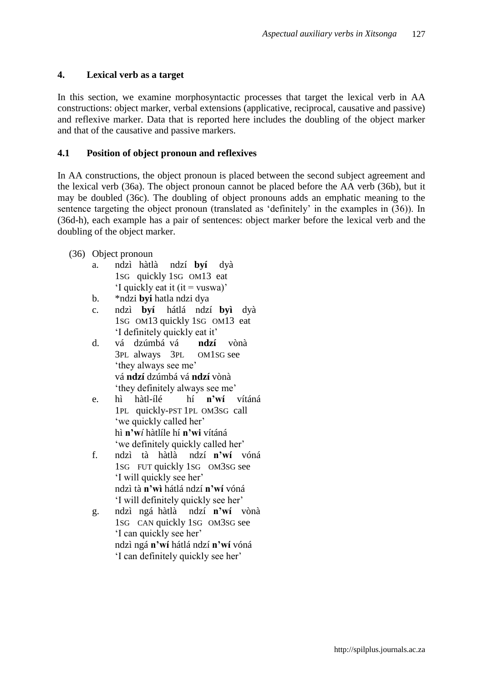# **4. Lexical verb as a target**

In this section, we examine morphosyntactic processes that target the lexical verb in AA constructions: object marker, verbal extensions (applicative, reciprocal, causative and passive) and reflexive marker. Data that is reported here includes the doubling of the object marker and that of the causative and passive markers.

# **4.1 Position of object pronoun and reflexives**

In AA constructions, the object pronoun is placed between the second subject agreement and the lexical verb (36a). The object pronoun cannot be placed before the AA verb (36b), but it may be doubled (36c). The doubling of object pronouns adds an emphatic meaning to the sentence targeting the object pronoun (translated as 'definitely' in the examples in (36)). In (36d-h), each example has a pair of sentences: object marker before the lexical verb and the doubling of the object marker.

- (36) Object pronoun
	- a. ndzì hàtlà ndzí **byí**dyà 1SG quickly 1SG OM13 eat 'I quickly eat it (it  $=$  vuswa)'
	- b. \*ndzi **byi** hatla ndzi dya
	- c. ndzì **byí** hátlá ndzí **byì** dyà 1SG OM13 quickly 1SG OM13 eat 'I definitely quickly eat it'
	- d. vá dzúmbá vá **ndzí**vònà 3PL always 3PL OM1SG see 'they always see me' vá **ndzí** dzúmbá vá **ndzí** vònà 'they definitely always see me'
	- e. hì hàtl-ílé hí **n'wí**vítáná 1PL quickly-PST 1PL OM3SG call 'we quickly called her' hì **n'w***í* hàtlíle hí **n'wi** vítáná 'we definitely quickly called her'
	- f. ndzì tà hàtlà ndzí **n'wí**vóná 1SG FUT quickly 1SG OM3SG see 'I will quickly see her' ndzì tà **n'wì** hátlá ndzí **n'wí** vóná 'I will definitely quickly see her'
	- g. ndzì ngá hàtlà ndzí **n'wí**vònà 1SG CAN quickly 1SG OM3SG see 'I can quickly see her' ndzì ngá **n'wí** hátlá ndzí **n'wí** vóná 'I can definitely quickly see her'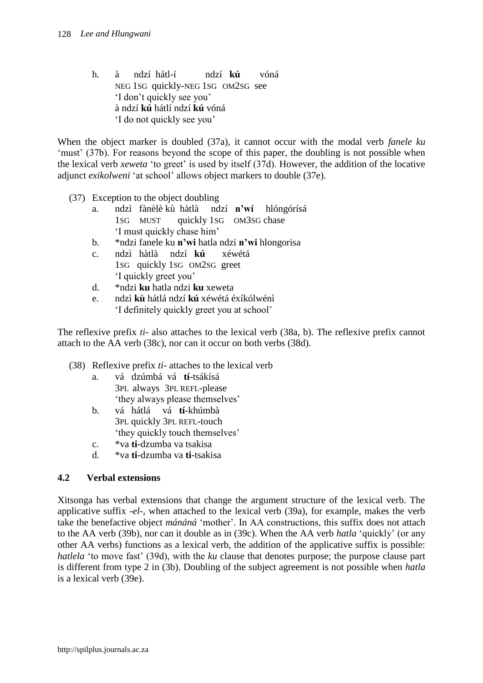h. à ndzí hátl-í ndzí **kú** vóná NEG 1SG quickly-NEG 1SG OM2SG see 'I don't quickly see you' à ndzí **kú** hátlí ndzí **kú** vóná 'I do not quickly see you'

When the object marker is doubled (37a), it cannot occur with the modal verb *fanele ku* 'must' (37b). For reasons beyond the scope of this paper, the doubling is not possible when the lexical verb *xeweta* 'to greet' is used by itself (37d). However, the addition of the locative adjunct *exikolweni* 'at school' allows object markers to double (37e).

- (37) Exception to the object doubling
	- a. ndzì fànèlè kù hàtlà ndzí **n'wí** hlóngórísá 1SG MUST quickly 1SG OM3SG chase 'I must quickly chase him'
	- b. \*ndzi fanele ku **n'wi** hatla ndzi **n'wi** hlongorisa
	- c. ndzì hàtlà ndzí **kú** xéwétá 1SG quickly 1SG OM2SG greet 'I quickly greet you'
	- d. \*ndzi **ku** hatla ndzi **ku** xeweta
	- e. ndzì **kù** hátlá ndzí **kú** xéwétá éxíkólwénì 'I definitely quickly greet you at school'

The reflexive prefix *ti*- also attaches to the lexical verb (38a, b). The reflexive prefix cannot attach to the AA verb (38c), nor can it occur on both verbs (38d).

- (38) Reflexive prefix *ti* attaches to the lexical verb
	- a. vá dzúmbá vá **tí**-tsákísá 3PL always 3PL REFL-please 'they always please themselves'
	- b. vá hátlá vá **tí**-khúmbà 3PL quickly 3PL REFL-touch 'they quickly touch themselves'
	- c. \*va **ti***-*dzumba va tsakisa
	- d. \*va **ti***-*dzumba va **ti***-*tsakisa

# **4.2 Verbal extensions**

Xitsonga has verbal extensions that change the argument structure of the lexical verb. The applicative suffix -*el*-, when attached to the lexical verb (39a), for example, makes the verb take the benefactive object *mánáná* 'mother'. In AA constructions, this suffix does not attach to the AA verb (39b), nor can it double as in (39c). When the AA verb *hatla* 'quickly' (or any other AA verbs) functions as a lexical verb, the addition of the applicative suffix is possible: *hatlela* 'to move fast' (39d), with the *ku* clause that denotes purpose; the purpose clause part is different from type 2 in (3b). Doubling of the subject agreement is not possible when *hatla*  is a lexical verb (39e).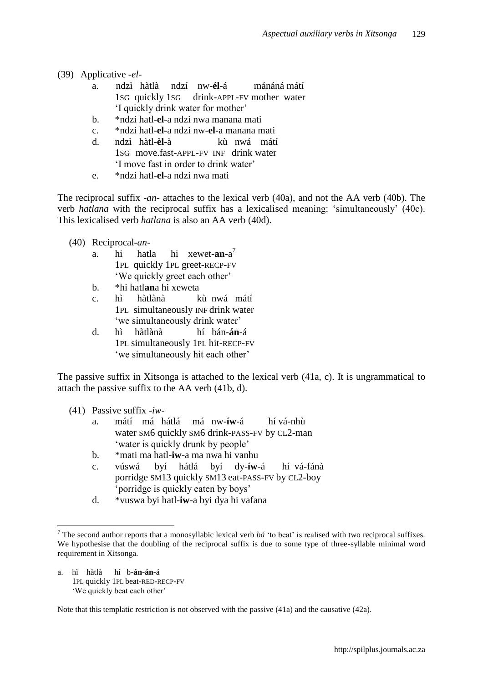- (39) Applicative -*el*
	- a. ndzì hàtlà ndzí nw-**él**-á mánáná mátí 1SG quickly 1SG drink-APPL-FV mother water 'I quickly drink water for mother'
	- b. \*ndzi hatl-**el**-a ndzi nwa manana mati
	- c. \*ndzi hatl-**el-**a ndzi nw-**el-**a manana mati
	- d. ndzì hàtl-**èl**-à kù nwá mátí 1SG move.fast-APPL-FV INF drink water 'I move fast in order to drink water'
	- e. \*ndzi hatl-**el**-a ndzi nwa mati

The reciprocal suffix -*an*- attaches to the lexical verb (40a), and not the AA verb (40b). The verb *hatlana* with the reciprocal suffix has a lexicalised meaning: 'simultaneously' (40c). This lexicalised verb *hatlana* is also an AA verb (40d).

- (40) Reciprocal-*an*
	- a. hi hatla hi xewet-**an**-a 7 1PL quickly 1PL greet-RECP-FV 'We quickly greet each other'
	- b. \*hi hatl**an**a hi xeweta
	- c. hì hàtlànàkù nwá mátí 1PL simultaneously INF drink water 'we simultaneously drink water'
	- d. hì hàtlànàhí bán-**án**-á 1PL simultaneously 1PL hit-RECP-FV 'we simultaneously hit each other'

The passive suffix in Xitsonga is attached to the lexical verb (41a, c). It is ungrammatical to attach the passive suffix to the AA verb (41b, d).

- (41) Passive suffix -*iw*
	- a. mátí má hátlá má nw-**íw**-á hí vá-nhù water SM6 quickly SM6 drink-PASS-FV by CL2-man 'water is quickly drunk by people'
	- b. \*mati ma hatl-**iw**-a ma nwa hi vanhu
	- c. vúswá byí hátlá byí dy-**íw**-á hí vá-fánà porridge SM13 quickly SM13 eat-PASS-FV by CL2-boy 'porridge is quickly eaten by boys'
	- d. \*vuswa byi hatl-**iw**-a byi dya hi vafana

a. hì hàtlà hí b-**án**-**án**-á 1PL quickly 1PL beat-RED-RECP-FV 'We quickly beat each other'

 $\overline{a}$ 

Note that this templatic restriction is not observed with the passive (41a) and the causative (42a).

<sup>&</sup>lt;sup>7</sup> The second author reports that a monosyllabic lexical verb  $b\acute{a}$  'to beat' is realised with two reciprocal suffixes. We hypothesise that the doubling of the reciprocal suffix is due to some type of three-syllable minimal word requirement in Xitsonga.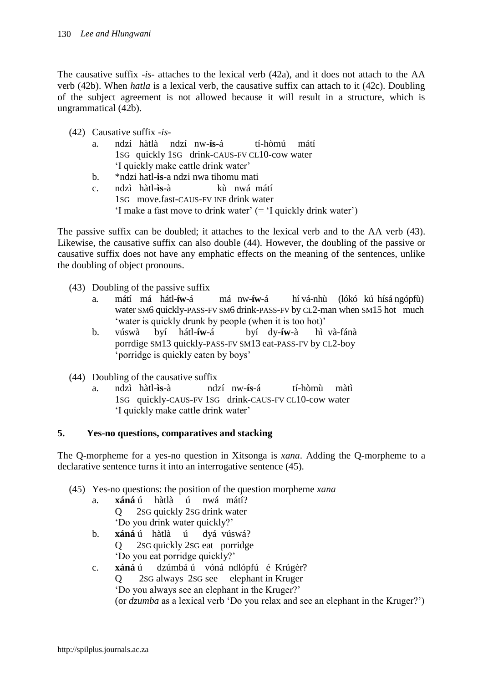The causative suffix -*is*- attaches to the lexical verb (42a), and it does not attach to the AA verb (42b). When *hatla* is a lexical verb, the causative suffix can attach to it (42c). Doubling of the subject agreement is not allowed because it will result in a structure, which is ungrammatical (42b).

|  | $(42)$ Causative suffix -is- |  |  |
|--|------------------------------|--|--|
|--|------------------------------|--|--|

| a.                                  |  |  |  | ndzí hàtlà ndzí nw- <b>ís-</b> á | tí-hòmú mátí                                 |  |
|-------------------------------------|--|--|--|----------------------------------|----------------------------------------------|--|
|                                     |  |  |  |                                  | 1sG quickly 1sG drink-CAUS-FV CL10-cow water |  |
| 'I quickly make cattle drink water' |  |  |  |                                  |                                              |  |

- b. \*ndzi hatl-**is**-a ndzi nwa tihomu mati
- c. ndzì hàtl-**ìs**-à kù nwá mátí 1SG move.fast-CAUS-FV INF drink water 'I make a fast move to drink water' (= 'I quickly drink water')

The passive suffix can be doubled; it attaches to the lexical verb and to the AA verb (43). Likewise, the causative suffix can also double (44). However, the doubling of the passive or causative suffix does not have any emphatic effects on the meaning of the sentences, unlike the doubling of object pronouns.

- (43) Doubling of the passive suffix
	- a. mátí má hátl-**íw**-á má nw-**íw**-á hí vá-nhù (lókó kú hísá ngópfù) water SM6 quickly-PASS-FV SM6 drink-PASS-FV by CL2-man when SM15 hot much 'water is quickly drunk by people (when it is too hot)'
	- b. vúswà byí hátl-**íw**-á byí dy-**íw**-à hì và-fánà porrdige SM13 quickly-PASS-FV SM13 eat-PASS-FV by CL2-boy 'porridge is quickly eaten by boys'
- (44) Doubling of the causative suffix
	- a. ndzì hàtl-**ìs**-à ndzí nw-**ís**-á tí-hòmù màtì 1SG quickly-CAUS-FV 1SG drink-CAUS-FV CL10-cow water 'I quickly make cattle drink water'

# **5. Yes-no questions, comparatives and stacking**

The Q-morpheme for a yes-no question in Xitsonga is *xana*. Adding the Q-morpheme to a declarative sentence turns it into an interrogative sentence (45).

- (45) Yes-no questions: the position of the question morpheme *xana*
	- a. **xáná** ú hàtlà ú nwá mátí? Q 2SG quickly 2SG drink water 'Do you drink water quickly?'
	- b. **xáná** ú hàtlà ú dyá vúswá? Q 2SG quickly 2SG eat porridge 'Do you eat porridge quickly?'
	- c. **xáná** ú dzúmbá ú vóná ndlópfú é Krúgèr? Q 2SG always 2SG see elephant in Kruger 'Do you always see an elephant in the Kruger?' (or *dzumba* as a lexical verb 'Do you relax and see an elephant in the Kruger?')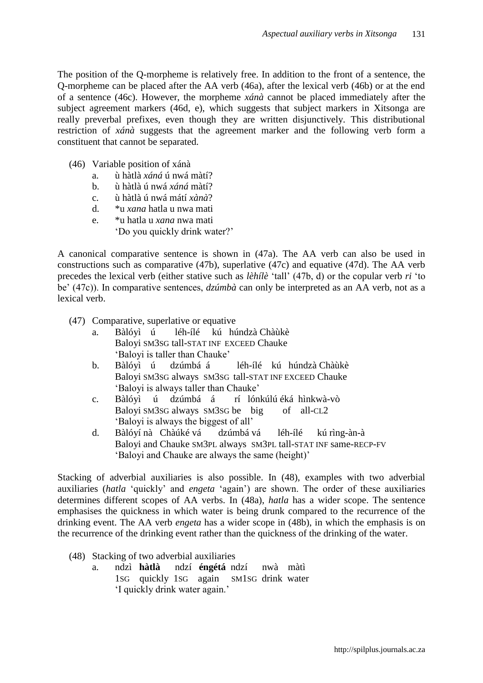The position of the Q-morpheme is relatively free. In addition to the front of a sentence, the Q-morpheme can be placed after the AA verb (46a), after the lexical verb (46b) or at the end of a sentence (46c). However, the morpheme *xánà* cannot be placed immediately after the subject agreement markers (46d, e), which suggests that subject markers in Xitsonga are really preverbal prefixes, even though they are written disjunctively. This distributional restriction of *xánà* suggests that the agreement marker and the following verb form a constituent that cannot be separated.

- (46) Variable position of xánà
	- a. ù hàtlà *xáná* ú nwá màtí?
	- b. ù hàtlà ú nwá *xáná* màtí?
	- c. ù hàtlà ú nwá mátí *xànà*?
	- d. \*u *xana* hatla u nwa mati
	- e. \*u hatla u *xana* nwa mati
		- 'Do you quickly drink water?'

A canonical comparative sentence is shown in (47a). The AA verb can also be used in constructions such as comparative (47b), superlative (47c) and equative (47d). The AA verb precedes the lexical verb (either stative such as *lèhílè* 'tall' (47b, d) or the copular verb *ri* 'to be' (47c)). In comparative sentences, *dzúmbà* can only be interpreted as an AA verb, not as a lexical verb.

- (47) Comparative, superlative or equative
	- a. Bàlóyì ú léh-ílé kú húndzà Chàùkè Baloyi SM3SG tall-STAT INF EXCEED Chauke 'Baloyi is taller than Chauke'
	- b. Bàlóyì ú dzúmbá á léh-ílé kú húndzà Chàùkè Baloyi SM3SG always SM3SG tall-STAT INF EXCEED Chauke 'Baloyi is always taller than Chauke'
	- c. Bàlóyì ú dzúmbá á rí lónkúlú éká hìnkwà-vò Baloyi SM3SG always SM3SG be big of all-CL2 'Baloyi is always the biggest of all'
	- d. Bàlóyí nà Chàúké vá dzúmbá vá léh-ílé kú rìng-àn-à Baloyi and Chauke SM3PL always SM3PL tall-STAT INF same-RECP-FV 'Baloyi and Chauke are always the same (height)'

Stacking of adverbial auxiliaries is also possible. In (48), examples with two adverbial auxiliaries (*hatla* 'quickly' and *engeta* 'again') are shown. The order of these auxiliaries determines different scopes of AA verbs. In (48a), *hatla* has a wider scope. The sentence emphasises the quickness in which water is being drunk compared to the recurrence of the drinking event. The AA verb *engeta* has a wider scope in (48b), in which the emphasis is on the recurrence of the drinking event rather than the quickness of the drinking of the water.

- (48) Stacking of two adverbial auxiliaries
	- a. ndzì **hàtlà** ndzí **éngétá** ndzí nwà màtì 1SG quickly 1SG again SM1SG drink water 'I quickly drink water again.'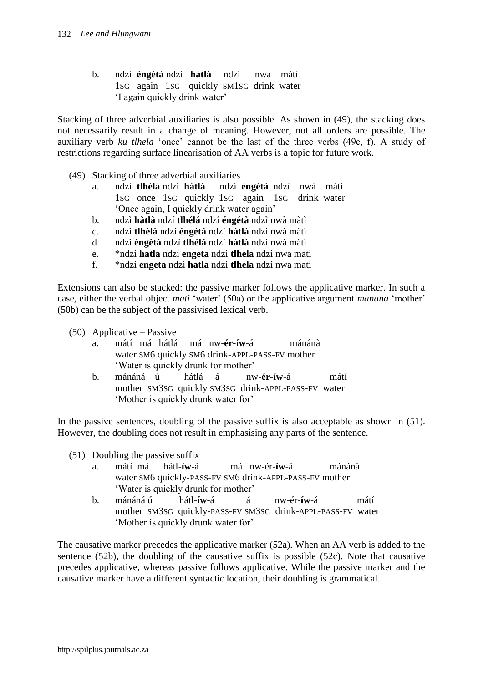b. ndzì **èngètà** ndzí **hátlá** ndzí nwà màtì 1SG again 1SG quickly SM1SG drink water 'I again quickly drink water'

Stacking of three adverbial auxiliaries is also possible. As shown in (49), the stacking does not necessarily result in a change of meaning. However, not all orders are possible. The auxiliary verb *ku tlhela* 'once' cannot be the last of the three verbs (49e, f). A study of restrictions regarding surface linearisation of AA verbs is a topic for future work.

- (49) Stacking of three adverbial auxiliaries
	- a. ndzì **tlhèlà** ndzí **hátlá** ndzí **èngètà** ndzì nwà màtì 1SG once 1SG quickly 1SG again 1SG drink water 'Once again, I quickly drink water again'
	- b. ndzì **hàtlà** ndzí **tlhélá** ndzí **éngétà** ndzì nwà màtì
	- c. ndzì **tlhèlà** ndzí **éngétá** ndzí **hàtlà** ndzì nwà màtì
	- d. ndzì **èngètà** ndzí **tlhélá** ndzí **hàtlà** ndzì nwà màtì
	- e. \*ndzi **hatla** ndzi **engeta** ndzi **tlhela** ndzi nwa mati
	- f. \*ndzi **engeta** ndzi **hatla** ndzi **tlhela** ndzi nwa mati

Extensions can also be stacked: the passive marker follows the applicative marker. In such a case, either the verbal object *mati* 'water' (50a) or the applicative argument *manana* 'mother' (50b) can be the subject of the passivised lexical verb.

- (50) Applicative Passive
	- a. mátí má hátlá má nw-**ér-íw**-á mánánà water SM6 quickly SM6 drink-APPL-PASS-FV mother 'Water is quickly drunk for mother'
	- b. mánáná ú hátlá á nw-**ér-íw**-á mátí mother SM3SG quickly SM3SG drink-APPL-PASS-FV water 'Mother is quickly drunk water for'

In the passive sentences, doubling of the passive suffix is also acceptable as shown in (51). However, the doubling does not result in emphasising any parts of the sentence.

- (51) Doubling the passive suffix
	- a. mátí má hátl-**íw-**á má nw-ér-**íw**-á mánánà water SM6 quickly-PASS-FV SM6 drink-APPL-PASS-FV mother 'Water is quickly drunk for mother'
	- b. mánáná ú hátl-**íw-**á á nw-ér-**íw**-á mátí mother SM3SG quickly-PASS-FV SM3SG drink-APPL-PASS-FV water 'Mother is quickly drunk water for'

The causative marker precedes the applicative marker (52a). When an AA verb is added to the sentence (52b), the doubling of the causative suffix is possible (52c). Note that causative precedes applicative, whereas passive follows applicative. While the passive marker and the causative marker have a different syntactic location, their doubling is grammatical.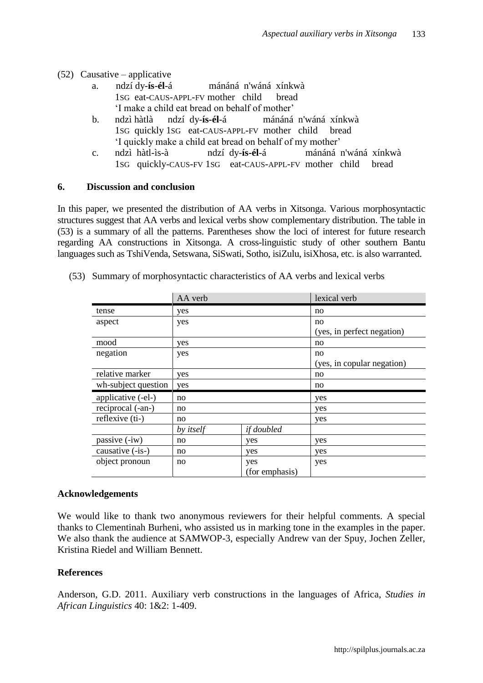- (52) Causative applicative
	- a. ndzí dy-**ís**-**él**-á mánáná n'wáná xínkwà 1SG eat-CAUS-APPL-FV mother child bread 'I make a child eat bread on behalf of mother'
	- b. ndzì hàtlà ndzí dy-**ís-él**-á mánáná n'wáná xínkwà 1SG quickly 1SG eat-CAUS-APPL-FV mother child bread 'I quickly make a child eat bread on behalf of my mother'
	- c. ndzì hàtl-ìs-à ndzí dy-**ís-él**-á mánáná n'wáná xínkwà 1SG quickly-CAUS-FV 1SG eat-CAUS-APPL-FV mother child bread

### **6. Discussion and conclusion**

In this paper, we presented the distribution of AA verbs in Xitsonga. Various morphosyntactic structures suggest that AA verbs and lexical verbs show complementary distribution. The table in (53) is a summary of all the patterns. Parentheses show the loci of interest for future research regarding AA constructions in Xitsonga. A cross-linguistic study of other southern Bantu languages such as TshiVenda, Setswana, SiSwati, Sotho, isiZulu, isiXhosa, etc. is also warranted.

|                     | AA verb          |                | lexical verb               |  |
|---------------------|------------------|----------------|----------------------------|--|
| tense               | yes              |                | no                         |  |
| aspect              | yes              |                | no                         |  |
|                     |                  |                | (yes, in perfect negation) |  |
| mood                | yes              |                | no                         |  |
| negation            | yes              |                | no                         |  |
|                     |                  |                | (yes, in copular negation) |  |
| relative marker     | yes              |                | no                         |  |
| wh-subject question | yes              |                | no                         |  |
| applicative (-el-)  | no               |                | yes                        |  |
| reciprocal (-an-)   | no               |                | yes                        |  |
| reflexive (ti-)     | no               |                | yes                        |  |
|                     | by <i>itself</i> | if doubled     |                            |  |
| passive (-iw)       | no               | yes            | yes                        |  |
| causative (-is-)    | no               | yes            | yes                        |  |
| object pronoun      | no               | yes            | yes                        |  |
|                     |                  | (for emphasis) |                            |  |

(53) Summary of morphosyntactic characteristics of AA verbs and lexical verbs

# **Acknowledgements**

We would like to thank two anonymous reviewers for their helpful comments. A special thanks to Clementinah Burheni, who assisted us in marking tone in the examples in the paper. We also thank the audience at SAMWOP-3, especially Andrew van der Spuy, Jochen Zeller, Kristina Riedel and William Bennett.

# **References**

Anderson, G.D. 2011. Auxiliary verb constructions in the languages of Africa, *Studies in African Linguistics* 40: 1&2: 1-409.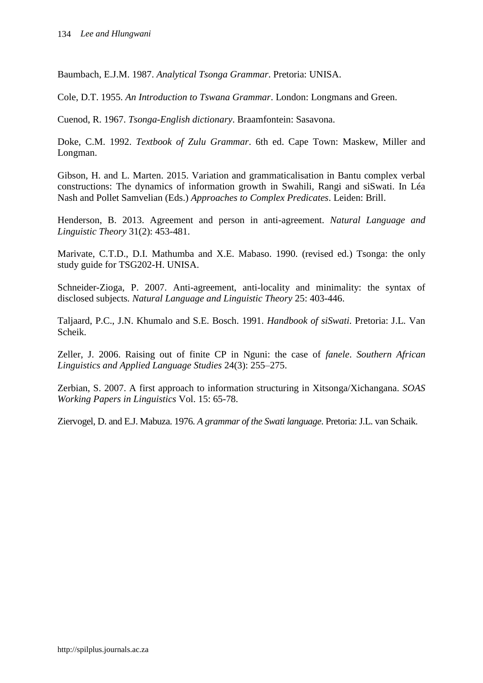Baumbach, E.J.M. 1987. *Analytical Tsonga Grammar*. Pretoria: UNISA.

Cole, D.T. 1955. *An Introduction to Tswana Grammar*. London: Longmans and Green.

Cuenod, R. 1967. *Tsonga-English dictionary*. Braamfontein: Sasavona.

Doke, C.M. 1992. *Textbook of Zulu Grammar*. 6th ed. Cape Town: Maskew, Miller and Longman.

Gibson, H. and L. Marten. 2015. Variation and grammaticalisation in Bantu complex verbal constructions: The dynamics of information growth in Swahili, Rangi and siSwati. In Léa Nash and Pollet Samvelian (Eds.) *Approaches to Complex Predicates*. Leiden: Brill.

Henderson, B. 2013. Agreement and person in anti-agreement. *Natural Language and Linguistic Theory* 31(2): 453-481.

Marivate, C.T.D., D.I. Mathumba and X.E. Mabaso. 1990. (revised ed.) Tsonga: the only study guide for TSG202-H. UNISA.

Schneider-Zioga, P. 2007. Anti-agreement, anti-locality and minimality: the syntax of disclosed subjects*. Natural Language and Linguistic Theory* 25: 403-446.

Taljaard, P.C., J.N. Khumalo and S.E. Bosch. 1991. *Handbook of siSwati*. Pretoria: J.L. Van Scheik.

Zeller, J. 2006. Raising out of finite CP in Nguni: the case of *fanele*. *Southern African Linguistics and Applied Language Studies* 24(3): 255–275.

Zerbian, S. 2007. A first approach to information structuring in Xitsonga/Xichangana. *SOAS Working Papers in Linguistics* Vol. 15: 65-78.

Ziervogel, D. and E.J. Mabuza. 1976. *A grammar of the Swati language*. Pretoria: J.L. van Schaik.